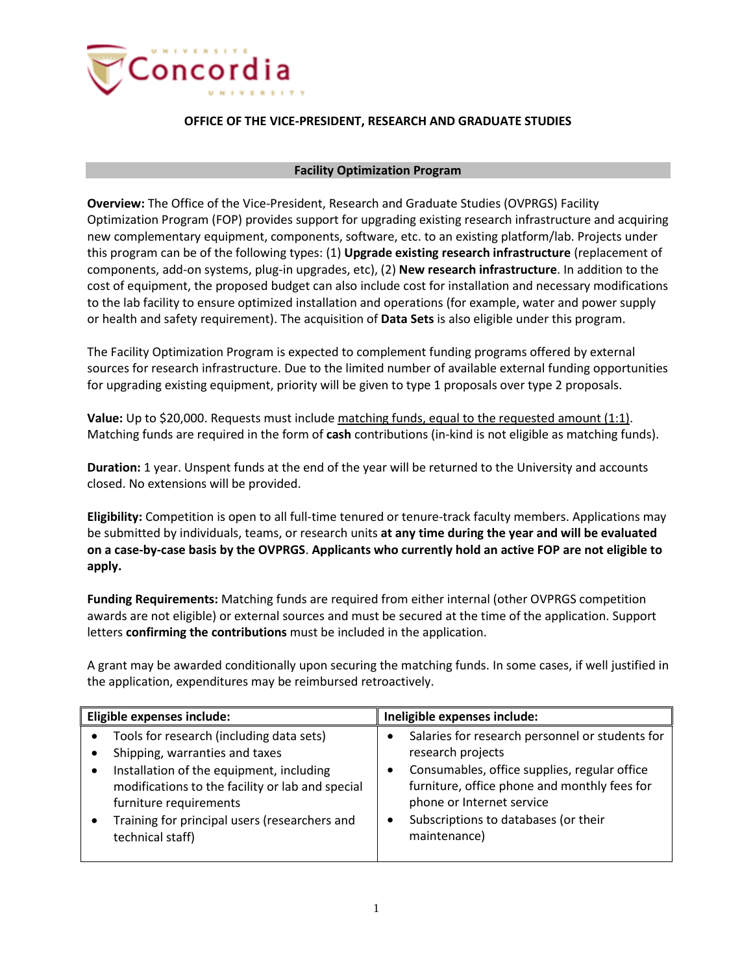

## **OFFICE OF THE VICE-PRESIDENT, RESEARCH AND GRADUATE STUDIES**

## **Facility Optimization Program**

**Overview:** The Office of the Vice-President, Research and Graduate Studies (OVPRGS) Facility Optimization Program (FOP) provides support for upgrading existing research infrastructure and acquiring new complementary equipment, components, software, etc. to an existing platform/lab. Projects under this program can be of the following types: (1) **Upgrade existing research infrastructure** (replacement of components, add-on systems, plug-in upgrades, etc), (2) **New research infrastructure**. In addition to the cost of equipment, the proposed budget can also include cost for installation and necessary modifications to the lab facility to ensure optimized installation and operations (for example, water and power supply or health and safety requirement). The acquisition of **Data Sets** is also eligible under this program.

The Facility Optimization Program is expected to complement funding programs offered by external sources for research infrastructure. Due to the limited number of available external funding opportunities for upgrading existing equipment, priority will be given to type 1 proposals over type 2 proposals.

Value: Up to \$20,000. Requests must include matching funds, equal to the requested amount (1:1). Matching funds are required in the form of **cash** contributions (in-kind is not eligible as matching funds).

**Duration:** 1 year. Unspent funds at the end of the year will be returned to the University and accounts closed. No extensions will be provided.

**Eligibility:** Competition is open to all full-time tenured or tenure-track faculty members. Applications may be submitted by individuals, teams, or research units **at any time during the year and will be evaluated on a case-by-case basis by the OVPRGS**. **Applicants who currently hold an active FOP are not eligible to apply.**

**Funding Requirements:** Matching funds are required from either internal (other OVPRGS competition awards are not eligible) or external sources and must be secured at the time of the application. Support letters **confirming the contributions** must be included in the application.

A grant may be awarded conditionally upon securing the matching funds. In some cases, if well justified in the application, expenditures may be reimbursed retroactively.

| Eligible expenses include:                                                                                                                                                                       | Ineligible expenses include:                                                                                                                                                      |
|--------------------------------------------------------------------------------------------------------------------------------------------------------------------------------------------------|-----------------------------------------------------------------------------------------------------------------------------------------------------------------------------------|
| Tools for research (including data sets)                                                                                                                                                         | Salaries for research personnel or students for                                                                                                                                   |
| Shipping, warranties and taxes                                                                                                                                                                   | research projects                                                                                                                                                                 |
| Installation of the equipment, including<br>٠<br>modifications to the facility or lab and special<br>furniture requirements<br>Training for principal users (researchers and<br>technical staff) | Consumables, office supplies, regular office<br>furniture, office phone and monthly fees for<br>phone or Internet service<br>Subscriptions to databases (or their<br>maintenance) |
|                                                                                                                                                                                                  |                                                                                                                                                                                   |